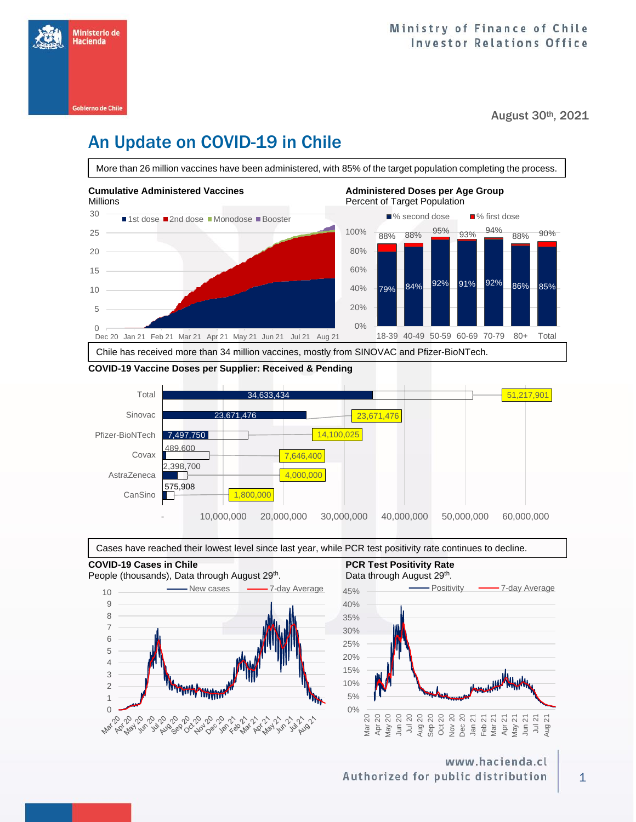

August 30th, 2021

## An Update on COVID-19 in Chile

**Cumulative Administered Vaccines Administered Doses per Age Group** Millions **Percent of Target Population** 30 ■1st dose ■2nd dose ■Monodose ■Booster ■% second dose ■% first dose More than 26 million vaccines have been administered, with 85% of the target population completing the process. 2 nd dose.<br>Ndërsa e vend dose.



#### **COVID-19 Vaccine Doses per Supplier: Received & Pending**





**COVID-19 Cases in Chile PCR Test Positivity Rate**  People (thousands), Data through August 29<sup>th</sup> 10 Wew cases **2006** 7-day Average 9 8 7 6 5 4 3 **MAMA/MAMA** 2 1 0



### www.hacienda.cl Authorized for public distribution